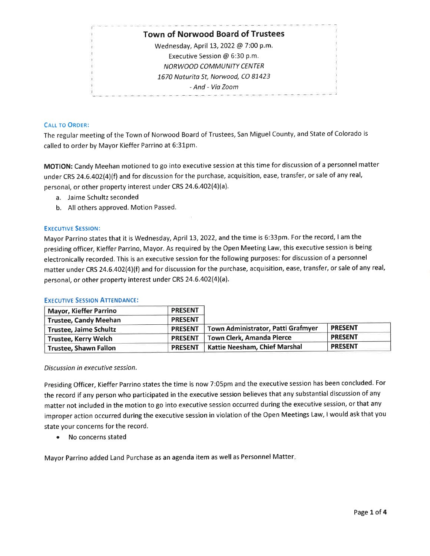# Town of Norwood Board of Trustees

Wednesday, April 13, 2022 @ 7:00 p.m. Executive Session @ 6:30 p.m. NORWOOD COMMUNITY CENTER 1670 Naturita St, Norwood, CO 81423 - And - Via Zoom

# **CALL TO ORDER:**

The regular meeting of the Town of Norwood Board of Trustees, San Miguel County, and State of Colorado is called to order by Mayor Kieffer Parrino at 6:31pm.

MOTION: Candy Meehan motioned to go into executive session at this time for discussion of a personnel matter under CRS 24.6.402(4)(f) and for discussion for the purchase, acquisition, ease, transfer, or sale of any real, personal, or other property interest under CRS 24.6.402(4)(a).

- a. Jaime Schultz seconded
- b. All others approved. Motion Passed.

# **EXECUTIVE SESSION:**

Mayor Parrino states that it is Wednesday, April 13, 2022, and the time is 6:33pm. For the record, I am the presiding officer, Kieffer Parrino, Mayor. As required by the Open Meeting Law, this executive session is being electronically recorded. This is an executive session for the following purposes: for discussion of a personnel matter under CRS 24.6.402(4)(f) and for discussion for the purchase, acquisition, ease, transfer, or sale of any real, personal, or other property interest under CRS 24.6.402(4)(a).

#### **EXECUTIVE SESSION ATTENDANCE:**

| <b>Mayor, Kieffer Parrino</b> | <b>PRESENT</b> |                                    |                |
|-------------------------------|----------------|------------------------------------|----------------|
| <b>Trustee, Candy Meehan</b>  | <b>PRESENT</b> |                                    |                |
| <b>Trustee, Jaime Schultz</b> | <b>PRESENT</b> | Town Administrator, Patti Grafmyer | <b>PRESENT</b> |
| <b>Trustee, Kerry Welch</b>   | <b>PRESENT</b> | Town Clerk, Amanda Pierce          | <b>PRESENT</b> |
| <b>Trustee, Shawn Fallon</b>  | <b>PRESENT</b> | Kattie Neesham, Chief Marshal      | <b>PRESENT</b> |

#### Discussion in executive session.

Presiding Officer, Kieffer Parrino states the time is now 7:05pm and the executive session has been concluded. For the record if any person who participated in the executive session believes that any substantial discussion of any matter not included in the motion to go into executive session occurred during the executive session, or that any improper action occurred during the executive session in violation of the Open Meetings Law, I would ask that you state your concerns for the record.

• No concerns stated

Mayor Parrino added Land Purchase as an agenda item as well as Personnel Matter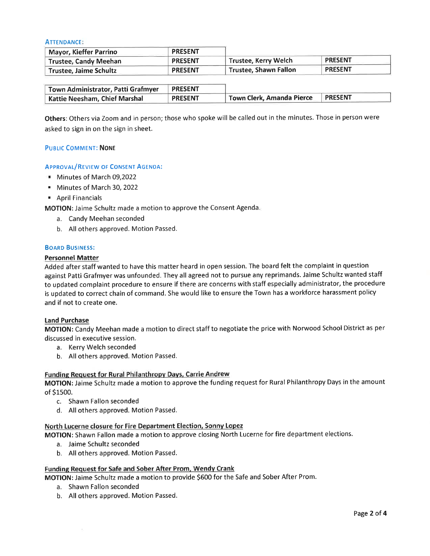ATTENDANcE

| Mayor, Kieffer Parrino       | <b>PRESENT</b> |                       |                |  |
|------------------------------|----------------|-----------------------|----------------|--|
| <b>Trustee, Candy Meehan</b> | <b>PRESENT</b> | Trustee, Kerry Welch  | <b>PRESENT</b> |  |
| Trustee, Jaime Schultz       | <b>PRESENT</b> | Trustee, Shawn Fallon | <b>PRESENT</b> |  |

| Town Administrator, Patti Grafmyer | <b>PRESENT</b> |                           |                |  |
|------------------------------------|----------------|---------------------------|----------------|--|
| Kattie Neesham, Chief Marshal      | <b>PRESENT</b> | Town Clerk, Amanda Pierce | <b>PRESENT</b> |  |

Others: Others via Zoom and in person; those who spoke will be called out in the minutes. Those in person were asked to sign in on the sign in sheet.

#### PUBLIC COMMENT: NONE

#### APPROVAL/REVIEW OF CONSENT AGENDA:

- **F** Minutes of March 09,2022
- . Minutes of March 30,2022
- . April Financials

MOTION: Jaime Schultz made a motion to approve the Consent Agenda

- a. Candy Meehan seconded
- b. Allothers approved. Motion Passed.

#### BoARD BUSINESS:

#### Personnel Matter

Added after staff wanted to have this matter heard in open session. The board felt the complaint in question against Patti Grafmyer was unfounded. They all agreed not to pursue any reprimands. Jaime Schultz wanted staff to updated complaint procedure to ensure if there are concerns with staff especially administrator, the procedure is updated to correct chain of command. She would like to ensure the Town has a workforce harassment policy and if not to create one.

#### Land Purchase

MOTION: Candy Meehan made a motion to direct staff to negotiate the price with Norwood School District as per discussed in executive session.

- a. Kerry Welch seconded
- b. Allothers approved. Motion Passed.

#### Funding Request for Rural Philanthropv Davs. Carrie Andrew

MOTION: Jaime Schultz made a motion to approve the funding request for Rural Philanthropy Days in the amount of SLs0o.

- c. Shawn Fallon seconded
- d. Allothers approved. Motion Passed.

#### North Lucerne closure for Fire Department Election, Sonny Lopez

MOTION: Shawn Fallon made a motion to approve closing North Lucerne for fire department elections.

- a. Jaime Schultz seconded
- b. Allothers approved. Motion Passed.

#### Funding Request for Safe and Sober After Prom, Wendy Crank

MOTION: Jaime Schultz made a motion to provide \$SOO for the Safe and Sober After Prom.

- a. Shawn Fallon seconded
- b. Allothers approved. Motion Passed.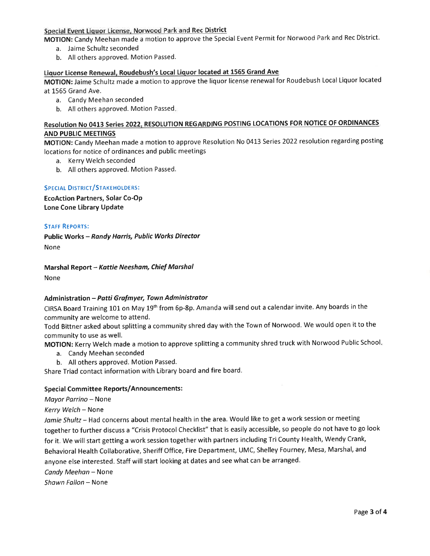# Special Event Liquor License, Norwood Park and Rec District

MOTION: Candy Meehan made a motion to approve the Special Event Permit for Norwood Park and Rec District.

- a. Jaime Schultz seconded
- b. All others approved. Motion Passed.

# Liquor License Renewal, Roudebush's Local Liquor located at 1565 Grand Ave

MOTION: Jaime Schultz made a motion to approve the liquor license renewal for Roudebush Local Liquor located at 1565 Grand Ave.

- a. Candy Meehan seconded
- b. All others approved. Motion Passed

# Resolution No 0413 Series 2022, RESOLUTION REGARDING POSTING LOCATIONS FOR NOTICE OF ORDINANCES AND PUBLIC MEETINGS

MOTION: Candy Meehan made a motion to approve Resolution No 0413 Series 2022 resolution regarding posting locations for notice of ordinances and public meetings

- a. Kerry Welch seconded
- b. All others approved. Motion Passed.

#### SPECIAL DISTRICT/STAKEHOLDERS:

EcoAction Partners, Solar Co-OP Lone Cone Library Update

#### STAFF REPORTS:

Public Works - Randy Horris, Public Works Director None

# Marshal Report - Kattie Neesham, Chief Marshal

None

# Administration - Patti Grafmyer, Town Administrator

CIRSA Board Training L0L on May 19th from 6p-8p. Amanda will send out a calendar invite. Any boards in the community are welcome to attend.

Todd Bittner asked about splitting a community shred day with the Town of Norwood. We would open it to the community to use as well.

MOTION: Kerry Welch made a motion to approve splitting a community shred truck with Norwood Public School

- a. Candy Meehan seconded
- b. All others approved. Motion Passed.

Share Triad contact information with Library board and fire board'

#### Special Committee Reports/Announcements:

Mayor Parrino - None

Kerry Welch - None

Jamie Shultz - Had concerns about mental health in the area. Would like to get a work session or meeting together to further discuss a "Crisis Protocol Checklist" that is easily accessible, so people do not have to go look for it. We will start getting a work session together with partners including Tri County Health, Wendy Crank, Behavioral Health Collaborative, Sheriff Office, Fire Department, UMC, Shelley Fourney, Mesa, Marshal, and anyone else interested. Staff will start looking at dates and see what can be arranged.

Candy Meehan - None

Shawn Fallon - None